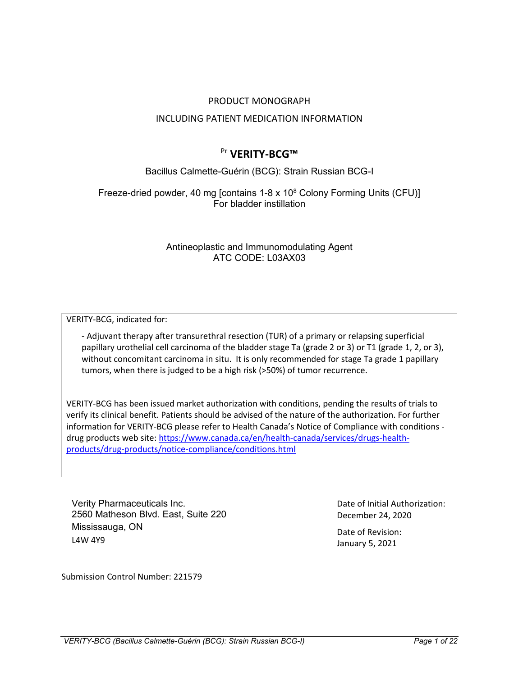## PRODUCT MONOGRAPH

## INCLUDING PATIENT MEDICATION INFORMATION

# Pr **VERITY-BCG™**

Bacillus Calmette-Guérin (BCG): Strain Russian BCG-I

Freeze-dried powder, 40 mg [contains 1-8 x 10<sup>8</sup> Colony Forming Units (CFU)] For bladder instillation

> Antineoplastic and Immunomodulating Agent ATC CODE: L03AX03

VERITY-BCG, indicated for:

- Adjuvant therapy after transurethral resection (TUR) of a primary or relapsing superficial papillary urothelial cell carcinoma of the bladder stage Ta (grade 2 or 3) or T1 (grade 1, 2, or 3), without concomitant carcinoma in situ. It is only recommended for stage Ta grade 1 papillary tumors, when there is judged to be a high risk (>50%) of tumor recurrence.

VERITY-BCG has been issued market authorization with conditions, pending the results of trials to verify its clinical benefit. Patients should be advised of the nature of the authorization. For further information for VERITY-BCG please refer to Health Canada's Notice of Compliance with conditions drug products web site: [https://www.canada.ca/en/health-canada/services/drugs-health](https://www.canada.ca/en/health-canada/services/drugs-health-products/drug-products/notice-compliance/conditions.html)[products/drug-products/notice-compliance/conditions.html](https://www.canada.ca/en/health-canada/services/drugs-health-products/drug-products/notice-compliance/conditions.html)

Verity Pharmaceuticals Inc. 2560 Matheson Blvd. East, Suite 220 Mississauga, ON L4W 4Y9

Date of Initial Authorization: December 24, 2020

Date of Revision: January 5, 2021

Submission Control Number: 221579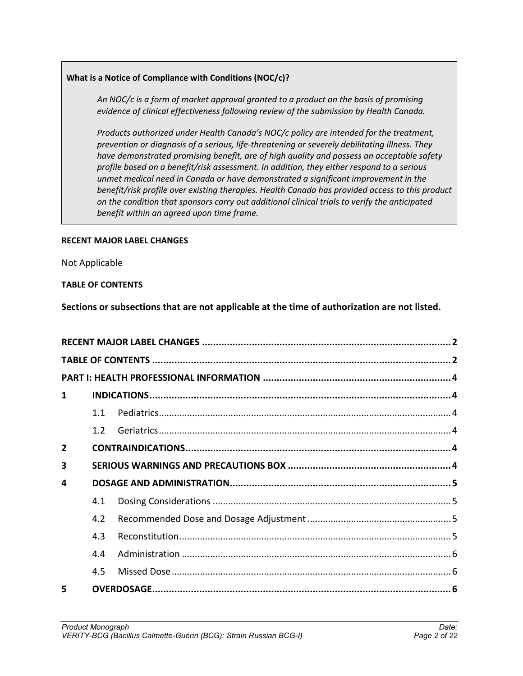# **What is a Notice of Compliance with Conditions (NOC/c)?**

*An NOC/c is a form of market approval granted to a product on the basis of promising evidence of clinical effectiveness following review of the submission by Health Canada.*

*Products authorized under Health Canada's NOC/c policy are intended for the treatment, prevention or diagnosis of a serious, life-threatening or severely debilitating illness. They have demonstrated promising benefit, are of high quality and possess an acceptable safety profile based on a benefit/risk assessment. In addition, they either respond to a serious unmet medical need in Canada or have demonstrated a significant improvement in the benefit/risk profile over existing therapies. Health Canada has provided access to this product on the condition that sponsors carry out additional clinical trials to verify the anticipated benefit within an agreed upon time frame.*

# <span id="page-1-0"></span>**RECENT MAJOR LABEL CHANGES**

Not Applicable

# <span id="page-1-1"></span>**TABLE OF CONTENTS**

**Sections or subsections that are not applicable at the time of authorization are not listed.**

| $\mathbf{1}$   |     |  |  |  |  |
|----------------|-----|--|--|--|--|
|                | 1.1 |  |  |  |  |
|                | 1.2 |  |  |  |  |
| $\overline{2}$ |     |  |  |  |  |
| 3              |     |  |  |  |  |
| 4              |     |  |  |  |  |
|                | 4.1 |  |  |  |  |
|                | 4.2 |  |  |  |  |
|                | 4.3 |  |  |  |  |
|                | 4.4 |  |  |  |  |
|                | 4.5 |  |  |  |  |
| 5              |     |  |  |  |  |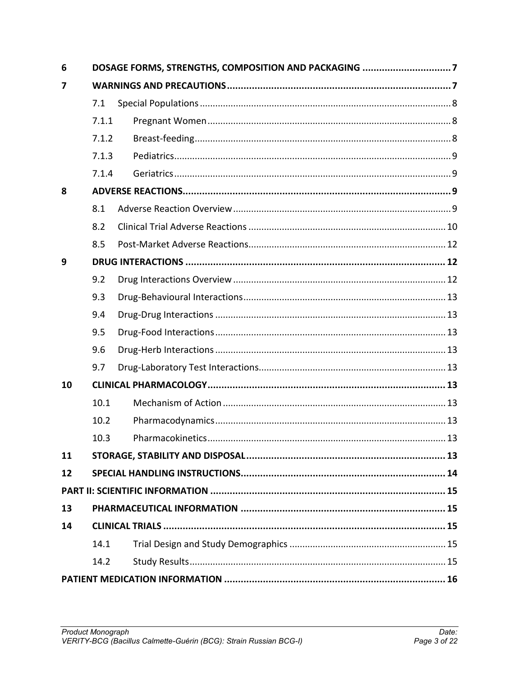| 6  | DOSAGE FORMS, STRENGTHS, COMPOSITION AND PACKAGING 7 |  |  |  |  |
|----|------------------------------------------------------|--|--|--|--|
| 7  |                                                      |  |  |  |  |
|    | 7.1                                                  |  |  |  |  |
|    | 7.1.1                                                |  |  |  |  |
|    | 7.1.2                                                |  |  |  |  |
|    | 7.1.3                                                |  |  |  |  |
|    | 7.1.4                                                |  |  |  |  |
| 8  |                                                      |  |  |  |  |
|    | 8.1                                                  |  |  |  |  |
|    | 8.2                                                  |  |  |  |  |
|    | 8.5                                                  |  |  |  |  |
| 9  |                                                      |  |  |  |  |
|    | 9.2                                                  |  |  |  |  |
|    | 9.3                                                  |  |  |  |  |
|    | 9.4                                                  |  |  |  |  |
|    | 9.5                                                  |  |  |  |  |
|    | 9.6                                                  |  |  |  |  |
|    | 9.7                                                  |  |  |  |  |
| 10 |                                                      |  |  |  |  |
|    | 10.1                                                 |  |  |  |  |
|    | 10.2                                                 |  |  |  |  |
|    | 10.3                                                 |  |  |  |  |
| 11 |                                                      |  |  |  |  |
| 12 |                                                      |  |  |  |  |
|    |                                                      |  |  |  |  |
| 13 |                                                      |  |  |  |  |
| 14 |                                                      |  |  |  |  |
|    | 14.1                                                 |  |  |  |  |
|    | 14.2                                                 |  |  |  |  |
|    |                                                      |  |  |  |  |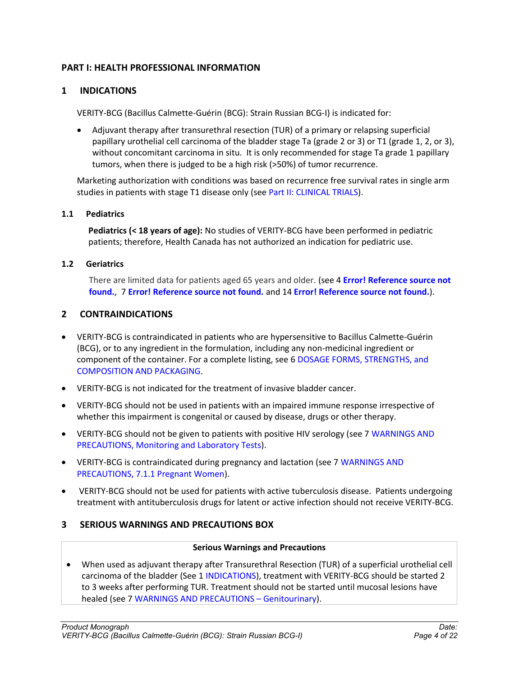# <span id="page-3-0"></span>**PART I: HEALTH PROFESSIONAL INFORMATION**

# <span id="page-3-1"></span>**1 INDICATIONS**

VERITY-BCG (Bacillus Calmette-Guérin (BCG): Strain Russian BCG-I) is indicated for:

 Adjuvant therapy after transurethral resection (TUR) of a primary or relapsing superficial papillary urothelial cell carcinoma of the bladder stage Ta (grade 2 or 3) or T1 (grade 1, 2, or 3), without concomitant carcinoma in situ. It is only recommended for stage Ta grade 1 papillary tumors, when there is judged to be a high risk (>50%) of tumor recurrence.

Marketing authorization with conditions was based on recurrence free survival rates in single arm studies in patients with stage T1 disease only (see Part II: CLINICAL TRIALS).

### <span id="page-3-2"></span>**1.1 Pediatrics**

**Pediatrics (< 18 years of age):** No studies of VERITY-BCG have been performed in pediatric patients; therefore, Health Canada has not authorized an indication for pediatric use.

### <span id="page-3-3"></span>**1.2 Geriatrics**

There are limited data for patients aged 65 years and older. (see 4 **Error! Reference source not found.**, 7 **Error! Reference source not found.** and 14 **Error! Reference source not found.**).

# <span id="page-3-4"></span>**2 CONTRAINDICATIONS**

- VERITY-BCG is contraindicated in patients who are hypersensitive to Bacillus Calmette-Guérin (BCG), or to any ingredient in the formulation, including any non-medicinal ingredient or component of the container. For a complete listing, see 6 DOSAGE FORMS, STRENGTHS, and COMPOSITION AND PACKAGING.
- VERITY-BCG is not indicated for the treatment of invasive bladder cancer.
- VERITY-BCG should not be used in patients with an impaired immune response irrespective of whether this impairment is congenital or caused by disease, drugs or other therapy.
- VERITY-BCG should not be given to patients with positive HIV serology (see 7 WARNINGS AND PRECAUTIONS, Monitoring and Laboratory Tests).
- VERITY-BCG is contraindicated during pregnancy and lactation (see 7 WARNINGS AND PRECAUTIONS, 7.1.1 Pregnant Women).
- VERITY-BCG should not be used for patients with active tuberculosis disease. Patients undergoing treatment with antituberculosis drugs for latent or active infection should not receive VERITY-BCG.

# <span id="page-3-5"></span>**3 SERIOUS WARNINGS AND PRECAUTIONS BOX**

### **Serious Warnings and Precautions**

 When used as adjuvant therapy after Transurethral Resection (TUR) of a superficial urothelial cell carcinoma of the bladder (See 1 INDICATIONS), treatment with VERITY-BCG should be started 2 to 3 weeks after performing TUR. Treatment should not be started until mucosal lesions have healed (see 7 WARNINGS AND PRECAUTIONS – Genitourinary).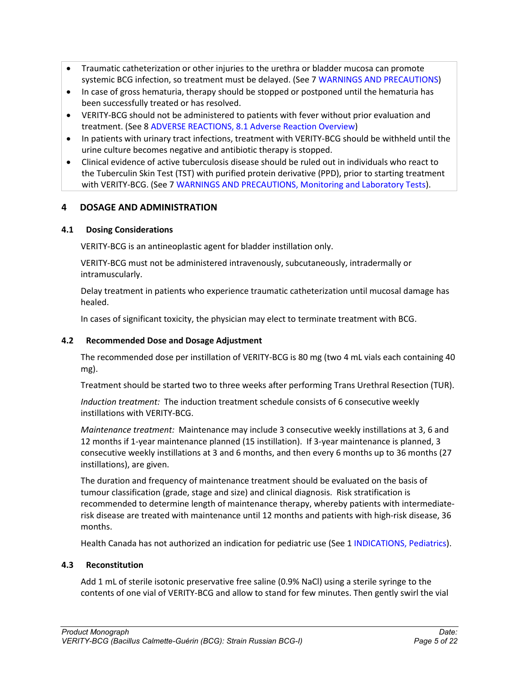- Traumatic catheterization or other injuries to the urethra or bladder mucosa can promote systemic BCG infection, so treatment must be delayed. (See 7 WARNINGS AND PRECAUTIONS)
- In case of gross hematuria, therapy should be stopped or postponed until the hematuria has been successfully treated or has resolved.
- VERITY-BCG should not be administered to patients with fever without prior evaluation and treatment. (See 8 ADVERSE REACTIONS, 8.1 Adverse Reaction Overview)
- In patients with urinary tract infections, treatment with VERITY-BCG should be withheld until the urine culture becomes negative and antibiotic therapy is stopped.
- Clinical evidence of active tuberculosis disease should be ruled out in individuals who react to the Tuberculin Skin Test (TST) with purified protein derivative (PPD), prior to starting treatment with VERITY-BCG. (See 7 WARNINGS AND PRECAUTIONS, Monitoring and Laboratory Tests).

# <span id="page-4-0"></span>**4 DOSAGE AND ADMINISTRATION**

# <span id="page-4-1"></span>**4.1 Dosing Considerations**

VERITY-BCG is an antineoplastic agent for bladder instillation only.

VERITY-BCG must not be administered intravenously, subcutaneously, intradermally or intramuscularly.

Delay treatment in patients who experience traumatic catheterization until mucosal damage has healed.

In cases of significant toxicity, the physician may elect to terminate treatment with BCG.

# <span id="page-4-2"></span>**4.2 Recommended Dose and Dosage Adjustment**

The recommended dose per instillation of VERITY-BCG is 80 mg (two 4 mL vials each containing 40 mg).

Treatment should be started two to three weeks after performing Trans Urethral Resection (TUR).

*Induction treatment:* The induction treatment schedule consists of 6 consecutive weekly instillations with VERITY-BCG.

*Maintenance treatment:* Maintenance may include 3 consecutive weekly instillations at 3, 6 and 12 months if 1-year maintenance planned (15 instillation). If 3-year maintenance is planned, 3 consecutive weekly instillations at 3 and 6 months, and then every 6 months up to 36 months (27 instillations), are given.

The duration and frequency of maintenance treatment should be evaluated on the basis of tumour classification (grade, stage and size) and clinical diagnosis. Risk stratification is recommended to determine length of maintenance therapy, whereby patients with intermediaterisk disease are treated with maintenance until 12 months and patients with high-risk disease, 36 months.

Health Canada has not authorized an indication for pediatric use (See 1 INDICATIONS, Pediatrics).

# <span id="page-4-3"></span>**4.3 Reconstitution**

Add 1 mL of sterile isotonic preservative free saline (0.9% NaCl) using a sterile syringe to the contents of one vial of VERITY-BCG and allow to stand for few minutes. Then gently swirl the vial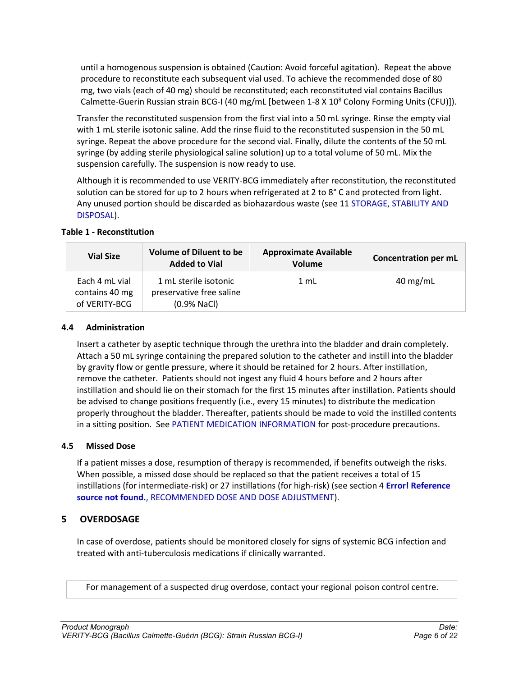until a homogenous suspension is obtained (Caution: Avoid forceful agitation). Repeat the above procedure to reconstitute each subsequent vial used. To achieve the recommended dose of 80 mg, two vials (each of 40 mg) should be reconstituted; each reconstituted vial contains Bacillus Calmette-Guerin Russian strain BCG-I (40 mg/mL [between 1-8 X 10<sup>8</sup> Colony Forming Units (CFU)]).

Transfer the reconstituted suspension from the first vial into a 50 mL syringe. Rinse the empty vial with 1 mL sterile isotonic saline. Add the rinse fluid to the reconstituted suspension in the 50 mL syringe. Repeat the above procedure for the second vial. Finally, dilute the contents of the 50 mL syringe (by adding sterile physiological saline solution) up to a total volume of 50 mL. Mix the suspension carefully. The suspension is now ready to use.

Although it is recommended to use VERITY-BCG immediately after reconstitution, the reconstituted solution can be stored for up to 2 hours when refrigerated at 2 to 8° C and protected from light. Any unused portion should be discarded as biohazardous waste (see 11 STORAGE, STABILITY AND DISPOSAL).

| <b>Vial Size</b>                                  | <b>Volume of Diluent to be</b><br><b>Added to Vial</b>             | <b>Approximate Available</b><br>Volume | <b>Concentration per mL</b> |
|---------------------------------------------------|--------------------------------------------------------------------|----------------------------------------|-----------------------------|
| Each 4 mL vial<br>contains 40 mg<br>of VERITY-BCG | 1 mL sterile isotonic<br>preservative free saline<br>$(0.9%$ NaCl) | $1 \text{ mL}$                         | $40 \text{ mg/mL}$          |

# **Table 1 - Reconstitution**

### <span id="page-5-0"></span>**4.4 Administration**

Insert a catheter by aseptic technique through the urethra into the bladder and drain completely. Attach a 50 mL syringe containing the prepared solution to the catheter and instill into the bladder by gravity flow or gentle pressure, where it should be retained for 2 hours. After instillation, remove the catheter. Patients should not ingest any fluid 4 hours before and 2 hours after instillation and should lie on their stomach for the first 15 minutes after instillation. Patients should be advised to change positions frequently (i.e., every 15 minutes) to distribute the medication properly throughout the bladder. Thereafter, patients should be made to void the instilled contents in a sitting position. See PATIENT MEDICATION INFORMATION for post-procedure precautions.

# <span id="page-5-1"></span>**4.5 Missed Dose**

If a patient misses a dose, resumption of therapy is recommended, if benefits outweigh the risks. When possible, a missed dose should be replaced so that the patient receives a total of 15 instillations (for intermediate-risk) or 27 instillations (for high-risk) (see section 4 **Error! Reference source not found.**, RECOMMENDED DOSE AND DOSE ADJUSTMENT).

# <span id="page-5-2"></span>**5 OVERDOSAGE**

In case of overdose, patients should be monitored closely for signs of systemic BCG infection and treated with anti-tuberculosis medications if clinically warranted.

For management of a suspected drug overdose, contact your regional poison control centre.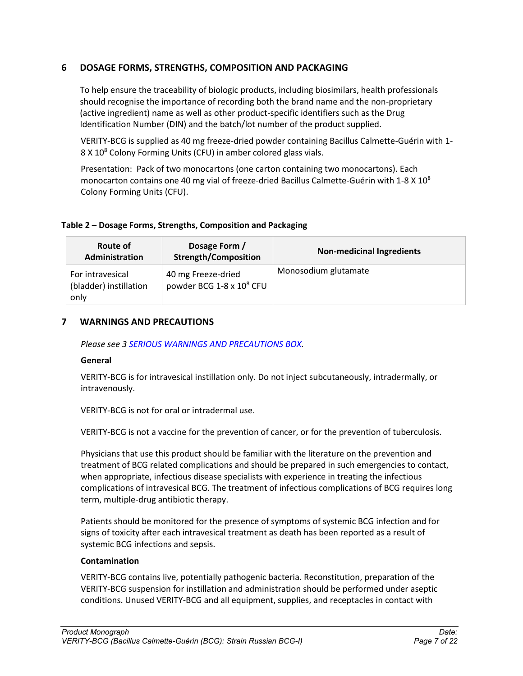# <span id="page-6-0"></span>**6 DOSAGE FORMS, STRENGTHS, COMPOSITION AND PACKAGING**

To help ensure the traceability of biologic products, including biosimilars, health professionals should recognise the importance of recording both the brand name and the non-proprietary (active ingredient) name as well as other product-specific identifiers such as the Drug Identification Number (DIN) and the batch/lot number of the product supplied.

VERITY-BCG is supplied as 40 mg freeze-dried powder containing Bacillus Calmette-Guérin with 1- 8 X 10<sup>8</sup> Colony Forming Units (CFU) in amber colored glass vials.

Presentation: Pack of two monocartons (one carton containing two monocartons). Each monocarton contains one 40 mg vial of freeze-dried Bacillus Calmette-Guérin with  $1-8 \times 10^8$ Colony Forming Units (CFU).

# **Table 2 – Dosage Forms, Strengths, Composition and Packaging**

| Route of<br><b>Administration</b>                  | Dosage Form /<br><b>Strength/Composition</b>               | <b>Non-medicinal Ingredients</b> |
|----------------------------------------------------|------------------------------------------------------------|----------------------------------|
| For intravesical<br>(bladder) instillation<br>only | 40 mg Freeze-dried<br>powder BCG 1-8 x 10 <sup>8</sup> CFU | Monosodium glutamate             |

# <span id="page-6-1"></span>**7 WARNINGS AND PRECAUTIONS**

*Please see 3 SERIOUS WARNINGS AND PRECAUTIONS BOX.*

# **General**

VERITY-BCG is for intravesical instillation only. Do not inject subcutaneously, intradermally, or intravenously.

VERITY-BCG is not for oral or intradermal use.

VERITY-BCG is not a vaccine for the prevention of cancer, or for the prevention of tuberculosis.

Physicians that use this product should be familiar with the literature on the prevention and treatment of BCG related complications and should be prepared in such emergencies to contact, when appropriate, infectious disease specialists with experience in treating the infectious complications of intravesical BCG. The treatment of infectious complications of BCG requires long term, multiple-drug antibiotic therapy.

Patients should be monitored for the presence of symptoms of systemic BCG infection and for signs of toxicity after each intravesical treatment as death has been reported as a result of systemic BCG infections and sepsis.

# **Contamination**

VERITY-BCG contains live, potentially pathogenic bacteria. Reconstitution, preparation of the VERITY-BCG suspension for instillation and administration should be performed under aseptic conditions. Unused VERITY-BCG and all equipment, supplies, and receptacles in contact with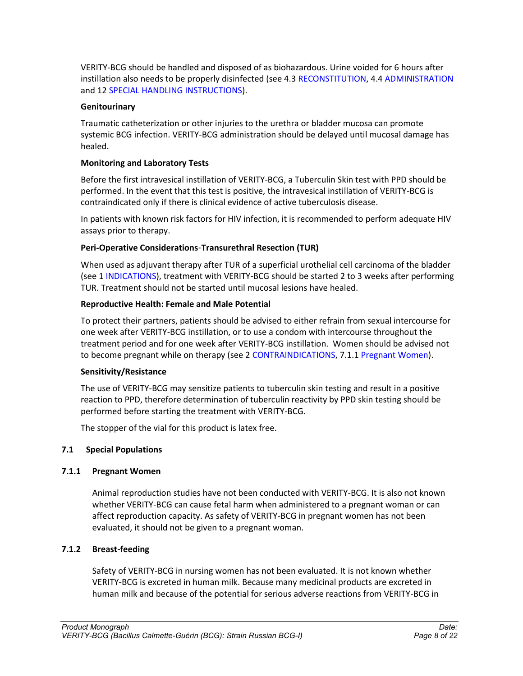VERITY-BCG should be handled and disposed of as biohazardous. Urine voided for 6 hours after instillation also needs to be properly disinfected (see 4.3 RECONSTITUTION, 4.4 ADMINISTRATION and 12 SPECIAL HANDLING INSTRUCTIONS).

# **Genitourinary**

Traumatic catheterization or other injuries to the urethra or bladder mucosa can promote systemic BCG infection. VERITY-BCG administration should be delayed until mucosal damage has healed.

# **Monitoring and Laboratory Tests**

Before the first intravesical instillation of VERITY-BCG, a Tuberculin Skin test with PPD should be performed. In the event that this test is positive, the intravesical instillation of VERITY-BCG is contraindicated only if there is clinical evidence of active tuberculosis disease.

In patients with known risk factors for HIV infection, it is recommended to perform adequate HIV assays prior to therapy.

# **Peri-Operative Considerations**-**Transurethral Resection (TUR)**

When used as adjuvant therapy after TUR of a superficial urothelial cell carcinoma of the bladder (see 1 INDICATIONS), treatment with VERITY-BCG should be started 2 to 3 weeks after performing TUR. Treatment should not be started until mucosal lesions have healed.

# **Reproductive Health: Female and Male Potential**

To protect their partners, patients should be advised to either refrain from sexual intercourse for one week after VERITY-BCG instillation, or to use a condom with intercourse throughout the treatment period and for one week after VERITY-BCG instillation. Women should be advised not to become pregnant while on therapy (see 2 CONTRAINDICATIONS, 7.1.1 Pregnant Women).

# **Sensitivity/Resistance**

The use of VERITY-BCG may sensitize patients to tuberculin skin testing and result in a positive reaction to PPD, therefore determination of tuberculin reactivity by PPD skin testing should be performed before starting the treatment with VERITY-BCG.

The stopper of the vial for this product is latex free.

# <span id="page-7-0"></span>**7.1 Special Populations**

# <span id="page-7-1"></span>**7.1.1 Pregnant Women**

Animal reproduction studies have not been conducted with VERITY-BCG. It is also not known whether VERITY-BCG can cause fetal harm when administered to a pregnant woman or can affect reproduction capacity. As safety of VERITY-BCG in pregnant women has not been evaluated, it should not be given to a pregnant woman.

# <span id="page-7-2"></span>**7.1.2 Breast-feeding**

Safety of VERITY-BCG in nursing women has not been evaluated. It is not known whether VERITY-BCG is excreted in human milk. Because many medicinal products are excreted in human milk and because of the potential for serious adverse reactions from VERITY-BCG in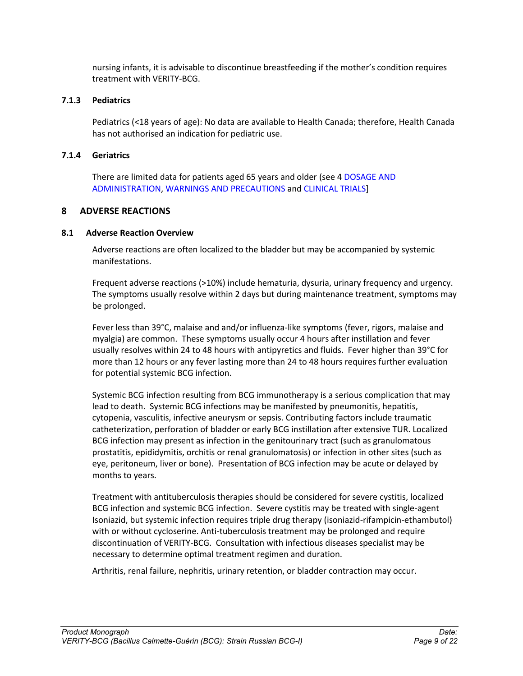nursing infants, it is advisable to discontinue breastfeeding if the mother's condition requires treatment with VERITY-BCG.

## <span id="page-8-0"></span>**7.1.3 Pediatrics**

Pediatrics (<18 years of age): No data are available to Health Canada; therefore, Health Canada has not authorised an indication for pediatric use.

## <span id="page-8-1"></span>**7.1.4 Geriatrics**

There are limited data for patients aged 65 years and older (see 4 DOSAGE AND ADMINISTRATION, WARNINGS AND PRECAUTIONS and CLINICAL TRIALS]

# <span id="page-8-2"></span>**8 ADVERSE REACTIONS**

# <span id="page-8-3"></span>**8.1 Adverse Reaction Overview**

Adverse reactions are often localized to the bladder but may be accompanied by systemic manifestations.

Frequent adverse reactions (>10%) include hematuria, dysuria, urinary frequency and urgency. The symptoms usually resolve within 2 days but during maintenance treatment, symptoms may be prolonged.

Fever less than 39°C, malaise and and/or influenza-like symptoms (fever, rigors, malaise and myalgia) are common. These symptoms usually occur 4 hours after instillation and fever usually resolves within 24 to 48 hours with antipyretics and fluids. Fever higher than 39°C for more than 12 hours or any fever lasting more than 24 to 48 hours requires further evaluation for potential systemic BCG infection.

Systemic BCG infection resulting from BCG immunotherapy is a serious complication that may lead to death. Systemic BCG infections may be manifested by pneumonitis, hepatitis, cytopenia, vasculitis, infective aneurysm or sepsis. Contributing factors include traumatic catheterization, perforation of bladder or early BCG instillation after extensive TUR. Localized BCG infection may present as infection in the genitourinary tract (such as granulomatous prostatitis, epididymitis, orchitis or renal granulomatosis) or infection in other sites (such as eye, peritoneum, liver or bone). Presentation of BCG infection may be acute or delayed by months to years.

Treatment with antituberculosis therapies should be considered for severe cystitis, localized BCG infection and systemic BCG infection. Severe cystitis may be treated with single-agent Isoniazid, but systemic infection requires triple drug therapy (isoniazid-rifampicin-ethambutol) with or without cycloserine. Anti-tuberculosis treatment may be prolonged and require discontinuation of VERITY-BCG. Consultation with infectious diseases specialist may be necessary to determine optimal treatment regimen and duration.

Arthritis, renal failure, nephritis, urinary retention, or bladder contraction may occur.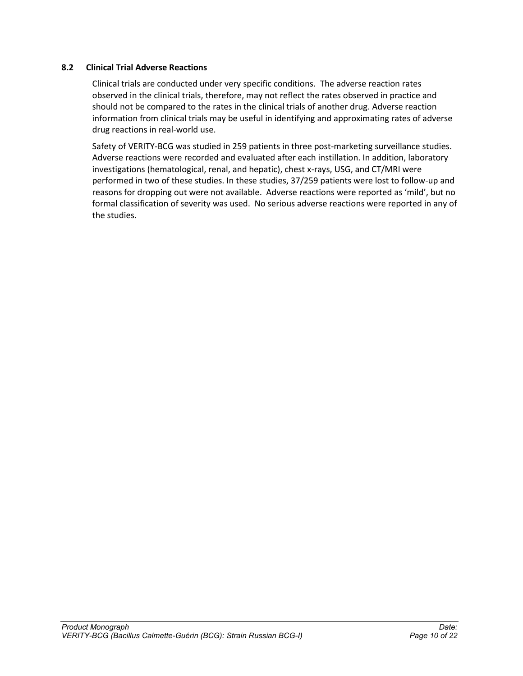### <span id="page-9-0"></span>**8.2 Clinical Trial Adverse Reactions**

Clinical trials are conducted under very specific conditions. The adverse reaction rates observed in the clinical trials, therefore, may not reflect the rates observed in practice and should not be compared to the rates in the clinical trials of another drug. Adverse reaction information from clinical trials may be useful in identifying and approximating rates of adverse drug reactions in real-world use.

Safety of VERITY-BCG was studied in 259 patients in three post-marketing surveillance studies. Adverse reactions were recorded and evaluated after each instillation. In addition, laboratory investigations (hematological, renal, and hepatic), chest x-rays, USG, and CT/MRI were performed in two of these studies. In these studies, 37/259 patients were lost to follow-up and reasons for dropping out were not available. Adverse reactions were reported as 'mild', but no formal classification of severity was used. No serious adverse reactions were reported in any of the studies.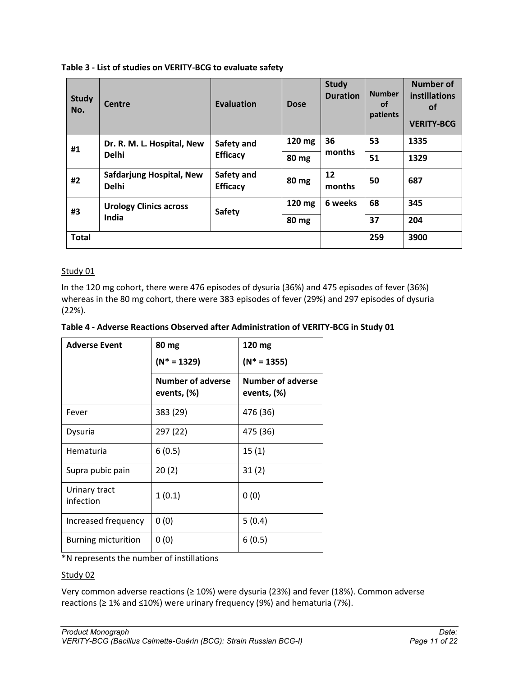| <b>Study</b><br>No. | Centre                                   | <b>Evaluation</b>             | <b>Dose</b> | <b>Study</b><br><b>Duration</b> | <b>Number</b><br><b>of</b><br>patients | Number of<br><b>instillations</b><br><b>of</b><br><b>VERITY-BCG</b> |
|---------------------|------------------------------------------|-------------------------------|-------------|---------------------------------|----------------------------------------|---------------------------------------------------------------------|
| #1                  | Dr. R. M. L. Hospital, New               | Safety and                    | 120 mg      | 36                              | 53                                     | 1335                                                                |
|                     | <b>Delhi</b>                             | <b>Efficacy</b>               | 80 mg       | months                          | 51                                     | 1329                                                                |
| #2                  | Safdarjung Hospital, New<br><b>Delhi</b> | Safety and<br><b>Efficacy</b> | 80 mg       | 12<br>months                    | 50                                     | 687                                                                 |
| #3                  | <b>Urology Clinics across</b><br>India   | Safety                        | 120 mg      | 6 weeks                         | 68                                     | 345                                                                 |
|                     |                                          |                               | 80 mg       |                                 | 37                                     | 204                                                                 |
| <b>Total</b>        |                                          |                               |             |                                 | 259                                    | 3900                                                                |

### **Table 3 - List of studies on VERITY-BCG to evaluate safety**

### Study 01

In the 120 mg cohort, there were 476 episodes of dysuria (36%) and 475 episodes of fever (36%) whereas in the 80 mg cohort, there were 383 episodes of fever (29%) and 297 episodes of dysuria (22%).

| Table 4 - Adverse Reactions Observed after Administration of VERITY-BCG in Study 01 |  |  |
|-------------------------------------------------------------------------------------|--|--|
|-------------------------------------------------------------------------------------|--|--|

| <b>Adverse Event</b>       | 80 mg<br>$(N^* = 1329)$                 | 120 mg<br>$(N^* = 1355)$                |  |
|----------------------------|-----------------------------------------|-----------------------------------------|--|
|                            | <b>Number of adverse</b><br>events, (%) | <b>Number of adverse</b><br>events, (%) |  |
| Fever                      | 383 (29)                                | 476 (36)                                |  |
| Dysuria                    | 297 (22)                                | 475 (36)                                |  |
| Hematuria                  | 6(0.5)                                  | 15(1)                                   |  |
| Supra pubic pain           | 20(2)                                   | 31(2)                                   |  |
| Urinary tract<br>infection | 1(0.1)                                  | 0(0)                                    |  |
| Increased frequency        | 0(0)                                    | 5(0.4)                                  |  |
| <b>Burning micturition</b> | 0(0)                                    | 6(0.5)                                  |  |

\*N represents the number of instillations

### Study 02

Very common adverse reactions (≥ 10%) were dysuria (23%) and fever (18%). Common adverse reactions (≥ 1% and ≤10%) were urinary frequency (9%) and hematuria (7%).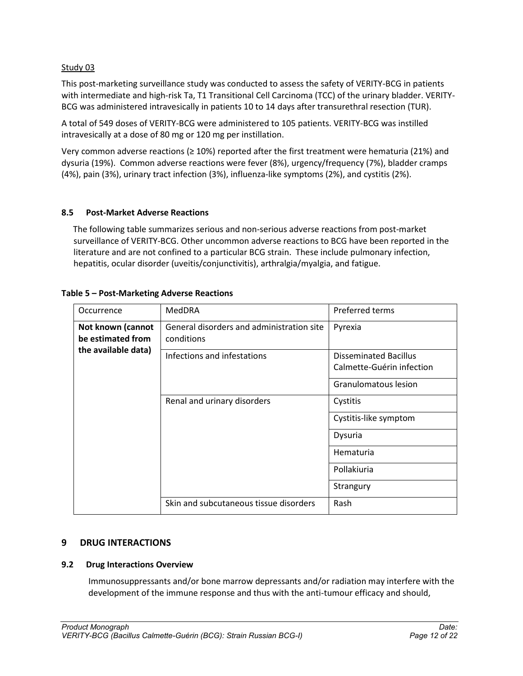## Study 03

This post-marketing surveillance study was conducted to assess the safety of VERITY-BCG in patients with intermediate and high-risk Ta, T1 Transitional Cell Carcinoma (TCC) of the urinary bladder. VERITY-BCG was administered intravesically in patients 10 to 14 days after transurethral resection (TUR).

A total of 549 doses of VERITY-BCG were administered to 105 patients. VERITY-BCG was instilled intravesically at a dose of 80 mg or 120 mg per instillation.

Very common adverse reactions (≥ 10%) reported after the first treatment were hematuria (21%) and dysuria (19%). Common adverse reactions were fever (8%), urgency/frequency (7%), bladder cramps (4%), pain (3%), urinary tract infection (3%), influenza-like symptoms (2%), and cystitis (2%).

### <span id="page-11-0"></span>**8.5 Post-Market Adverse Reactions**

The following table summarizes serious and non-serious adverse reactions from post-market surveillance of VERITY-BCG. Other uncommon adverse reactions to BCG have been reported in the literature and are not confined to a particular BCG strain. These include pulmonary infection, hepatitis, ocular disorder (uveitis/conjunctivitis), arthralgia/myalgia, and fatigue.

| Occurrence                             | <b>MedDRA</b>                                           | Preferred terms                                           |
|----------------------------------------|---------------------------------------------------------|-----------------------------------------------------------|
| Not known (cannot<br>be estimated from | General disorders and administration site<br>conditions | Pyrexia                                                   |
| the available data)                    | Infections and infestations                             | <b>Disseminated Bacillus</b><br>Calmette-Guérin infection |
|                                        |                                                         | Granulomatous lesion                                      |
|                                        | Renal and urinary disorders                             | Cystitis                                                  |
|                                        |                                                         | Cystitis-like symptom                                     |
|                                        |                                                         | Dysuria                                                   |
|                                        |                                                         | Hematuria                                                 |
|                                        |                                                         | Pollakiuria                                               |
|                                        |                                                         | Strangury                                                 |
|                                        | Skin and subcutaneous tissue disorders                  | Rash                                                      |

### **Table 5 – Post-Marketing Adverse Reactions**

# <span id="page-11-1"></span>**9 DRUG INTERACTIONS**

### <span id="page-11-2"></span>**9.2 Drug Interactions Overview**

Immunosuppressants and/or bone marrow depressants and/or radiation may interfere with the development of the immune response and thus with the anti-tumour efficacy and should,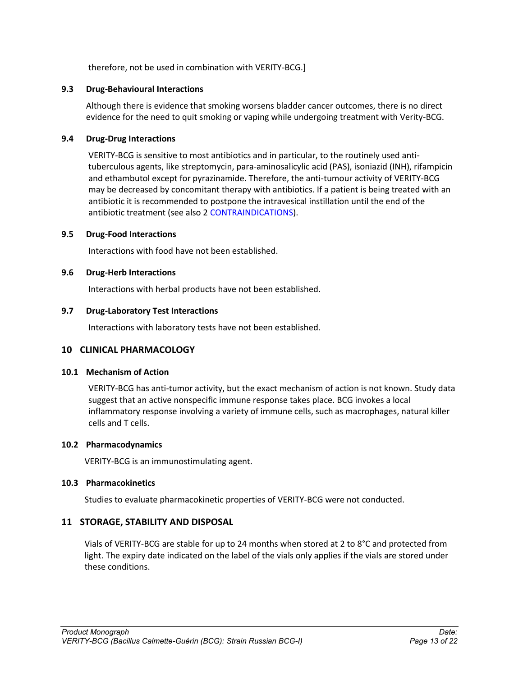therefore, not be used in combination with VERITY-BCG.]

### <span id="page-12-0"></span>**9.3 Drug-Behavioural Interactions**

Although there is evidence that smoking worsens bladder cancer outcomes, there is no direct evidence for the need to quit smoking or vaping while undergoing treatment with Verity-BCG.

### <span id="page-12-1"></span>**9.4 Drug-Drug Interactions**

VERITY-BCG is sensitive to most antibiotics and in particular, to the routinely used antituberculous agents, like streptomycin, para-aminosalicylic acid (PAS), isoniazid (INH), rifampicin and ethambutol except for pyrazinamide. Therefore, the anti-tumour activity of VERITY-BCG may be decreased by concomitant therapy with antibiotics. If a patient is being treated with an antibiotic it is recommended to postpone the intravesical instillation until the end of the antibiotic treatment (see also 2 CONTRAINDICATIONS).

### <span id="page-12-2"></span>**9.5 Drug-Food Interactions**

Interactions with food have not been established.

### <span id="page-12-3"></span>**9.6 Drug-Herb Interactions**

Interactions with herbal products have not been established.

### <span id="page-12-4"></span>**9.7 Drug-Laboratory Test Interactions**

Interactions with laboratory tests have not been established.

# <span id="page-12-5"></span>**10 CLINICAL PHARMACOLOGY**

### <span id="page-12-6"></span>**10.1 Mechanism of Action**

VERITY-BCG has anti-tumor activity, but the exact mechanism of action is not known. Study data suggest that an active nonspecific immune response takes place. BCG invokes a local inflammatory response involving a variety of immune cells, such as macrophages, natural killer cells and T cells.

### <span id="page-12-7"></span>**10.2 Pharmacodynamics**

VERITY-BCG is an immunostimulating agent.

### <span id="page-12-8"></span>**10.3 Pharmacokinetics**

Studies to evaluate pharmacokinetic properties of VERITY-BCG were not conducted.

# <span id="page-12-9"></span>**11 STORAGE, STABILITY AND DISPOSAL**

Vials of VERITY-BCG are stable for up to 24 months when stored at 2 to 8°C and protected from light. The expiry date indicated on the label of the vials only applies if the vials are stored under these conditions.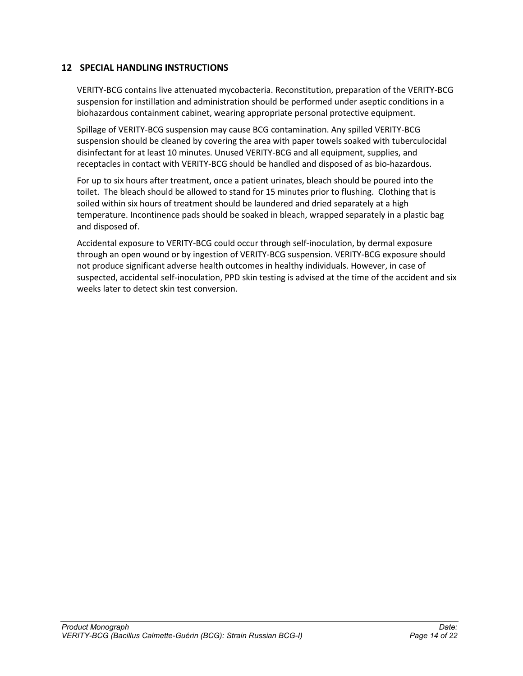# <span id="page-13-0"></span>**12 SPECIAL HANDLING INSTRUCTIONS**

VERITY-BCG contains live attenuated mycobacteria. Reconstitution, preparation of the VERITY-BCG suspension for instillation and administration should be performed under aseptic conditions in a biohazardous containment cabinet, wearing appropriate personal protective equipment.

Spillage of VERITY-BCG suspension may cause BCG contamination. Any spilled VERITY-BCG suspension should be cleaned by covering the area with paper towels soaked with tuberculocidal disinfectant for at least 10 minutes. Unused VERITY-BCG and all equipment, supplies, and receptacles in contact with VERITY-BCG should be handled and disposed of as bio-hazardous.

For up to six hours after treatment, once a patient urinates, bleach should be poured into the toilet. The bleach should be allowed to stand for 15 minutes prior to flushing. Clothing that is soiled within six hours of treatment should be laundered and dried separately at a high temperature. Incontinence pads should be soaked in bleach, wrapped separately in a plastic bag and disposed of.

Accidental exposure to VERITY-BCG could occur through self-inoculation, by dermal exposure through an open wound or by ingestion of VERITY-BCG suspension. VERITY-BCG exposure should not produce significant adverse health outcomes in healthy individuals. However, in case of suspected, accidental self-inoculation, PPD skin testing is advised at the time of the accident and six weeks later to detect skin test conversion.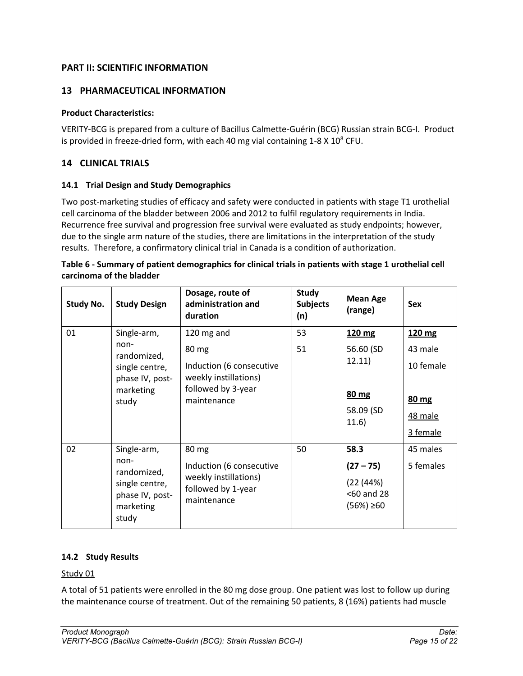# <span id="page-14-0"></span>**PART II: SCIENTIFIC INFORMATION**

# <span id="page-14-1"></span>**13 PHARMACEUTICAL INFORMATION**

## **Product Characteristics:**

VERITY-BCG is prepared from a culture of Bacillus Calmette-Guérin (BCG) Russian strain BCG-I. Product is provided in freeze-dried form, with each 40 mg vial containing  $1-8 \times 10^8$  CFU.

# <span id="page-14-2"></span>**14 CLINICAL TRIALS**

# <span id="page-14-3"></span>**14.1 Trial Design and Study Demographics**

Two post-marketing studies of efficacy and safety were conducted in patients with stage T1 urothelial cell carcinoma of the bladder between 2006 and 2012 to fulfil regulatory requirements in India. Recurrence free survival and progression free survival were evaluated as study endpoints; however, due to the single arm nature of the studies, there are limitations in the interpretation of the study results. Therefore, a confirmatory clinical trial in Canada is a condition of authorization.

| Table 6 - Summary of patient demographics for clinical trials in patients with stage 1 urothelial cell |
|--------------------------------------------------------------------------------------------------------|
| carcinoma of the bladder                                                                               |

| <b>Study No.</b> | <b>Study Design</b>                                                                           | Dosage, route of<br>administration and<br>duration                                                            | <b>Study</b><br><b>Subjects</b><br>(n) | <b>Mean Age</b><br>(range)                                       | <b>Sex</b>                                                     |
|------------------|-----------------------------------------------------------------------------------------------|---------------------------------------------------------------------------------------------------------------|----------------------------------------|------------------------------------------------------------------|----------------------------------------------------------------|
| 01               | Single-arm,<br>non-<br>randomized,<br>single centre,<br>phase IV, post-<br>marketing<br>study | 120 mg and<br>80 mg<br>Induction (6 consecutive<br>weekly instillations)<br>followed by 3-year<br>maintenance | 53<br>51                               | 120 mg<br>56.60 (SD<br>12.11)<br>80 mg<br>58.09 (SD<br>11.6)     | 120 mg<br>43 male<br>10 female<br>80 mg<br>48 male<br>3 female |
| 02               | Single-arm,<br>non-<br>randomized,<br>single centre,<br>phase IV, post-<br>marketing<br>study | 80 mg<br>Induction (6 consecutive<br>weekly instillations)<br>followed by 1-year<br>maintenance               | 50                                     | 58.3<br>$(27 - 75)$<br>(22 (44%)<br><60 and 28<br>$(56%) \ge 60$ | 45 males<br>5 females                                          |

### <span id="page-14-4"></span>**14.2 Study Results**

### Study 01

A total of 51 patients were enrolled in the 80 mg dose group. One patient was lost to follow up during the maintenance course of treatment. Out of the remaining 50 patients, 8 (16%) patients had muscle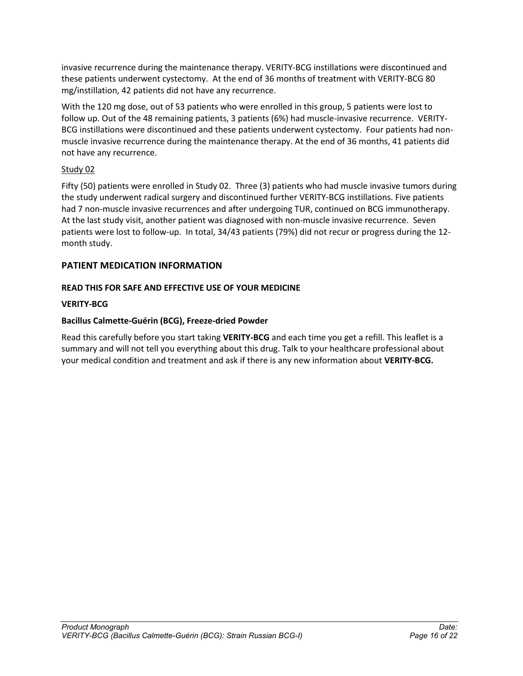invasive recurrence during the maintenance therapy. VERITY-BCG instillations were discontinued and these patients underwent cystectomy. At the end of 36 months of treatment with VERITY-BCG 80 mg/instillation, 42 patients did not have any recurrence.

With the 120 mg dose, out of 53 patients who were enrolled in this group, 5 patients were lost to follow up. Out of the 48 remaining patients, 3 patients (6%) had muscle-invasive recurrence. VERITY-BCG instillations were discontinued and these patients underwent cystectomy. Four patients had nonmuscle invasive recurrence during the maintenance therapy. At the end of 36 months, 41 patients did not have any recurrence.

# Study 02

Fifty (50) patients were enrolled in Study 02. Three (3) patients who had muscle invasive tumors during the study underwent radical surgery and discontinued further VERITY-BCG instillations. Five patients had 7 non-muscle invasive recurrences and after undergoing TUR, continued on BCG immunotherapy. At the last study visit, another patient was diagnosed with non-muscle invasive recurrence. Seven patients were lost to follow-up. In total, 34/43 patients (79%) did not recur or progress during the 12 month study.

# <span id="page-15-0"></span>**PATIENT MEDICATION INFORMATION**

# **READ THIS FOR SAFE AND EFFECTIVE USE OF YOUR MEDICINE**

# **VERITY-BCG**

# **Bacillus Calmette-Guérin (BCG), Freeze-dried Powder**

Read this carefully before you start taking **VERITY-BCG** and each time you get a refill. This leaflet is a summary and will not tell you everything about this drug. Talk to your healthcare professional about your medical condition and treatment and ask if there is any new information about **VERITY-BCG.**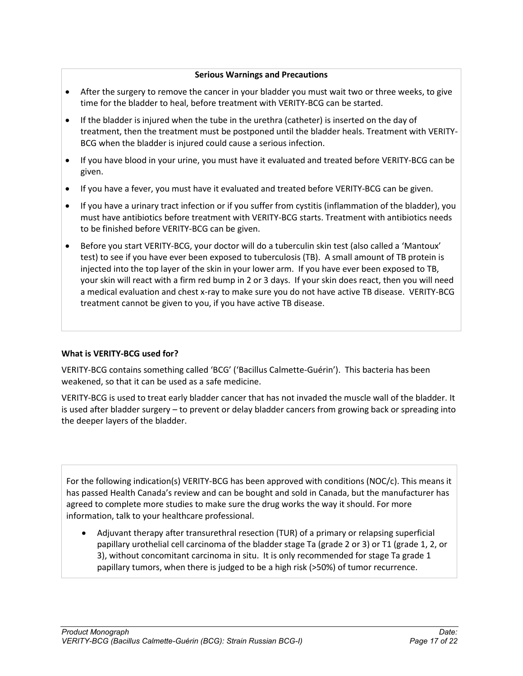### **Serious Warnings and Precautions**

- After the surgery to remove the cancer in your bladder you must wait two or three weeks, to give time for the bladder to heal, before treatment with VERITY-BCG can be started.
- If the bladder is injured when the tube in the urethra (catheter) is inserted on the day of treatment, then the treatment must be postponed until the bladder heals. Treatment with VERITY-BCG when the bladder is injured could cause a serious infection.
- If you have blood in your urine, you must have it evaluated and treated before VERITY-BCG can be given.
- If you have a fever, you must have it evaluated and treated before VERITY-BCG can be given.
- If you have a urinary tract infection or if you suffer from cystitis (inflammation of the bladder), you must have antibiotics before treatment with VERITY-BCG starts. Treatment with antibiotics needs to be finished before VERITY-BCG can be given.
- Before you start VERITY-BCG, your doctor will do a tuberculin skin test (also called a 'Mantoux' test) to see if you have ever been exposed to tuberculosis (TB). A small amount of TB protein is injected into the top layer of the skin in your lower arm. If you have ever been exposed to TB, your skin will react with a firm red bump in 2 or 3 days. If your skin does react, then you will need a medical evaluation and chest x-ray to make sure you do not have active TB disease. VERITY-BCG treatment cannot be given to you, if you have active TB disease.

# **What is VERITY-BCG used for?**

VERITY-BCG contains something called 'BCG' ('Bacillus Calmette-Guérin'). This bacteria has been weakened, so that it can be used as a safe medicine.

VERITY-BCG is used to treat early bladder cancer that has not invaded the muscle wall of the bladder. It is used after bladder surgery – to prevent or delay bladder cancers from growing back or spreading into the deeper layers of the bladder.

For the following indication(s) VERITY-BCG has been approved with conditions (NOC/c). This means it has passed Health Canada's review and can be bought and sold in Canada, but the manufacturer has agreed to complete more studies to make sure the drug works the way it should. For more information, talk to your healthcare professional.

 Adjuvant therapy after transurethral resection (TUR) of a primary or relapsing superficial papillary urothelial cell carcinoma of the bladder stage Ta (grade 2 or 3) or T1 (grade 1, 2, or 3), without concomitant carcinoma in situ. It is only recommended for stage Ta grade 1 papillary tumors, when there is judged to be a high risk (>50%) of tumor recurrence.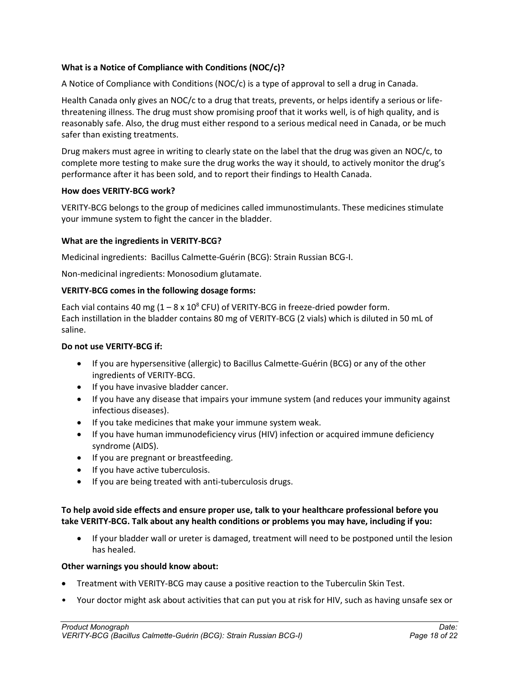## **What is a Notice of Compliance with Conditions (NOC/c)?**

A Notice of Compliance with Conditions (NOC/c) is a type of approval to sell a drug in Canada.

Health Canada only gives an NOC/c to a drug that treats, prevents, or helps identify a serious or lifethreatening illness. The drug must show promising proof that it works well, is of high quality, and is reasonably safe. Also, the drug must either respond to a serious medical need in Canada, or be much safer than existing treatments.

Drug makers must agree in writing to clearly state on the label that the drug was given an NOC/c, to complete more testing to make sure the drug works the way it should, to actively monitor the drug's performance after it has been sold, and to report their findings to Health Canada.

### **How does VERITY-BCG work?**

VERITY-BCG belongs to the group of medicines called immunostimulants. These medicines stimulate your immune system to fight the cancer in the bladder.

### **What are the ingredients in VERITY-BCG?**

Medicinal ingredients:Bacillus Calmette-Guérin (BCG): Strain Russian BCG-I.

Non-medicinal ingredients: Monosodium glutamate.

#### **VERITY-BCG comes in the following dosage forms:**

Each vial contains 40 mg  $(1 - 8 \times 10^8 \text{ CFU})$  of VERITY-BCG in freeze-dried powder form. Each instillation in the bladder contains 80 mg of VERITY-BCG (2 vials) which is diluted in 50 mL of saline.

#### **Do not use VERITY-BCG if:**

- If you are hypersensitive (allergic) to Bacillus Calmette-Guérin (BCG) or any of the other ingredients of VERITY-BCG.
- If you have invasive bladder cancer.
- If you have any disease that impairs your immune system (and reduces your immunity against infectious diseases).
- If you take medicines that make your immune system weak.
- If you have human immunodeficiency virus (HIV) infection or acquired immune deficiency syndrome (AIDS).
- If you are pregnant or breastfeeding.
- If you have active tuberculosis.
- If you are being treated with anti-tuberculosis drugs.

### **To help avoid side effects and ensure proper use, talk to your healthcare professional before you take VERITY-BCG. Talk about any health conditions or problems you may have, including if you:**

 If your bladder wall or ureter is damaged, treatment will need to be postponed until the lesion has healed.

#### **Other warnings you should know about:**

- Treatment with VERITY-BCG may cause a positive reaction to the Tuberculin Skin Test.
- Your doctor might ask about activities that can put you at risk for HIV, such as having unsafe sex or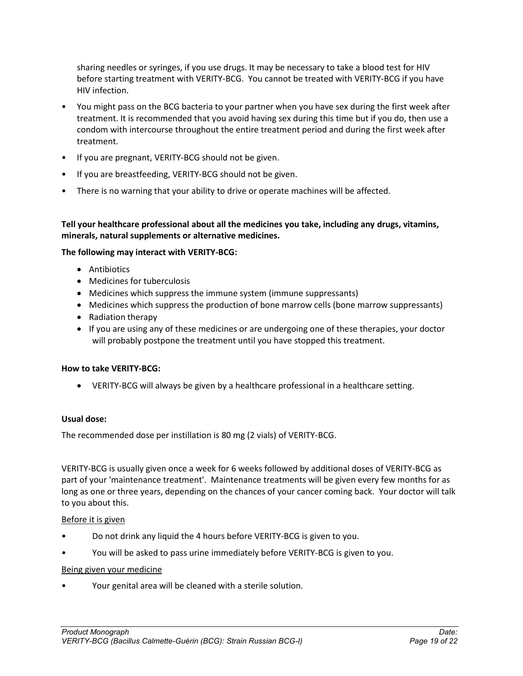sharing needles or syringes, if you use drugs. It may be necessary to take a blood test for HIV before starting treatment with VERITY-BCG. You cannot be treated with VERITY-BCG if you have HIV infection.

- You might pass on the BCG bacteria to your partner when you have sex during the first week after treatment. It is recommended that you avoid having sex during this time but if you do, then use a condom with intercourse throughout the entire treatment period and during the first week after treatment.
- If you are pregnant, VERITY-BCG should not be given.
- If you are breastfeeding, VERITY-BCG should not be given.
- There is no warning that your ability to drive or operate machines will be affected.

**Tell your healthcare professional about all the medicines you take, including any drugs, vitamins, minerals, natural supplements or alternative medicines.**

### **The following may interact with VERITY-BCG:**

- **Antibiotics**
- Medicines for tuberculosis
- Medicines which suppress the immune system (immune suppressants)
- Medicines which suppress the production of bone marrow cells (bone marrow suppressants)
- Radiation therapy
- If you are using any of these medicines or are undergoing one of these therapies, your doctor will probably postpone the treatment until you have stopped this treatment.

# **How to take VERITY-BCG:**

VERITY-BCG will always be given by a healthcare professional in a healthcare setting.

### **Usual dose:**

The recommended dose per instillation is 80 mg (2 vials) of VERITY-BCG.

VERITY-BCG is usually given once a week for 6 weeks followed by additional doses of VERITY-BCG as part of your 'maintenance treatment'. Maintenance treatments will be given every few months for as long as one or three years, depending on the chances of your cancer coming back. Your doctor will talk to you about this.

### Before it is given

- Do not drink any liquid the 4 hours before VERITY-BCG is given to you.
- You will be asked to pass urine immediately before VERITY-BCG is given to you.

### Being given your medicine

• Your genital area will be cleaned with a sterile solution.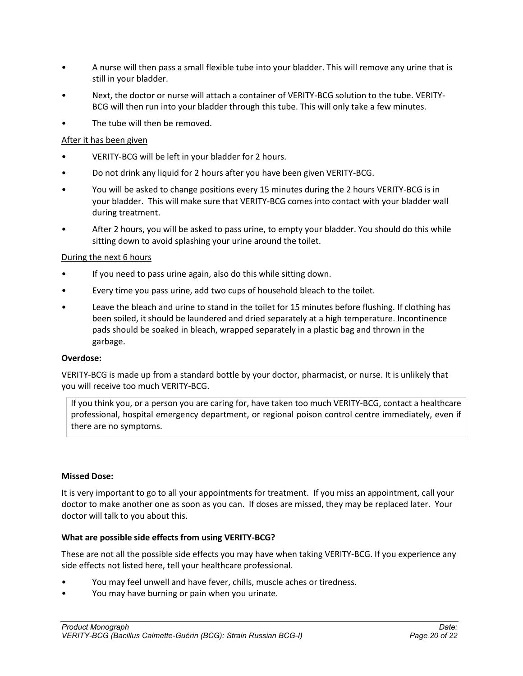- A nurse will then pass a small flexible tube into your bladder. This will remove any urine that is still in your bladder.
- Next, the doctor or nurse will attach a container of VERITY-BCG solution to the tube. VERITY-BCG will then run into your bladder through this tube. This will only take a few minutes.
- The tube will then be removed.

# After it has been given

- VERITY-BCG will be left in your bladder for 2 hours.
- Do not drink any liquid for 2 hours after you have been given VERITY-BCG.
- You will be asked to change positions every 15 minutes during the 2 hours VERITY-BCG is in your bladder. This will make sure that VERITY-BCG comes into contact with your bladder wall during treatment.
- After 2 hours, you will be asked to pass urine, to empty your bladder. You should do this while sitting down to avoid splashing your urine around the toilet.

# During the next 6 hours

- If you need to pass urine again, also do this while sitting down.
- Every time you pass urine, add two cups of household bleach to the toilet.
- Leave the bleach and urine to stand in the toilet for 15 minutes before flushing. If clothing has been soiled, it should be laundered and dried separately at a high temperature. Incontinence pads should be soaked in bleach, wrapped separately in a plastic bag and thrown in the garbage.

# **Overdose:**

VERITY-BCG is made up from a standard bottle by your doctor, pharmacist, or nurse. It is unlikely that you will receive too much VERITY-BCG.

If you think you, or a person you are caring for, have taken too much VERITY-BCG, contact a healthcare professional, hospital emergency department, or regional poison control centre immediately, even if there are no symptoms.

### **Missed Dose:**

It is very important to go to all your appointments for treatment. If you miss an appointment, call your doctor to make another one as soon as you can. If doses are missed, they may be replaced later. Your doctor will talk to you about this.

# **What are possible side effects from using VERITY-BCG?**

These are not all the possible side effects you may have when taking VERITY-BCG. If you experience any side effects not listed here, tell your healthcare professional.

- You may feel unwell and have fever, chills, muscle aches or tiredness.
- You may have burning or pain when you urinate.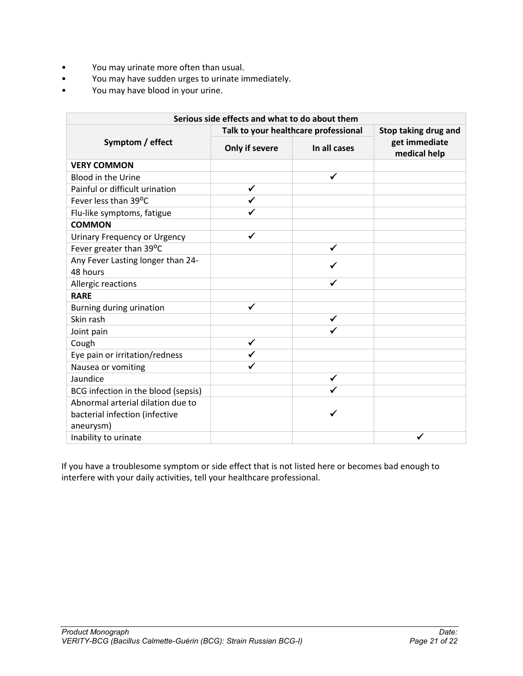- You may urinate more often than usual.
- You may have sudden urges to urinate immediately.
- You may have blood in your urine.

| Serious side effects and what to do about them |                                      |                      |                               |  |  |
|------------------------------------------------|--------------------------------------|----------------------|-------------------------------|--|--|
|                                                | Talk to your healthcare professional | Stop taking drug and |                               |  |  |
| Symptom / effect                               | Only if severe                       | In all cases         | get immediate<br>medical help |  |  |
| <b>VERY COMMON</b>                             |                                      |                      |                               |  |  |
| Blood in the Urine                             |                                      | $\checkmark$         |                               |  |  |
| Painful or difficult urination                 | ✓                                    |                      |                               |  |  |
| Fever less than 39°C                           | ✔                                    |                      |                               |  |  |
| Flu-like symptoms, fatigue                     |                                      |                      |                               |  |  |
| <b>COMMON</b>                                  |                                      |                      |                               |  |  |
| <b>Urinary Frequency or Urgency</b>            | ✔                                    |                      |                               |  |  |
| Fever greater than 39°C                        |                                      | ✓                    |                               |  |  |
| Any Fever Lasting longer than 24-              |                                      |                      |                               |  |  |
| 48 hours                                       |                                      |                      |                               |  |  |
| Allergic reactions                             |                                      | ✓                    |                               |  |  |
| <b>RARE</b>                                    |                                      |                      |                               |  |  |
| Burning during urination                       | ✔                                    |                      |                               |  |  |
| Skin rash                                      |                                      | ✓                    |                               |  |  |
| Joint pain                                     |                                      |                      |                               |  |  |
| Cough                                          | ✔                                    |                      |                               |  |  |
| Eye pain or irritation/redness                 |                                      |                      |                               |  |  |
| Nausea or vomiting                             |                                      |                      |                               |  |  |
| Jaundice                                       |                                      | ✓                    |                               |  |  |
| BCG infection in the blood (sepsis)            |                                      |                      |                               |  |  |
| Abnormal arterial dilation due to              |                                      |                      |                               |  |  |
| bacterial infection (infective                 |                                      |                      |                               |  |  |
| aneurysm)                                      |                                      |                      |                               |  |  |
| Inability to urinate                           |                                      |                      |                               |  |  |

If you have a troublesome symptom or side effect that is not listed here or becomes bad enough to interfere with your daily activities, tell your healthcare professional.